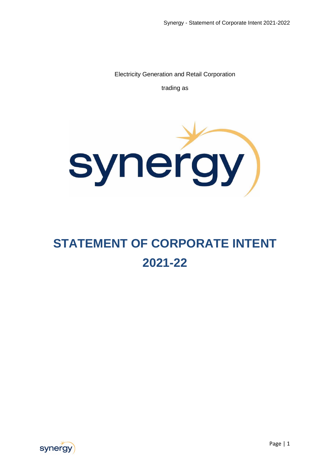Electricity Generation and Retail Corporation

trading as



# **STATEMENT OF CORPORATE INTENT 2021-22**

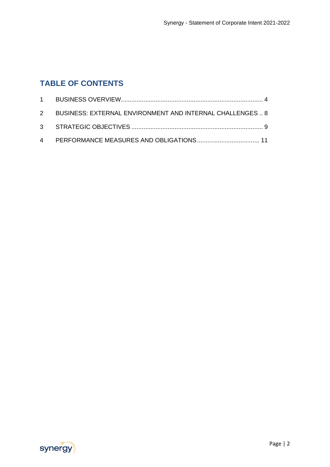## **TABLE OF CONTENTS**

| 2 BUSINESS: EXTERNAL ENVIRONMENT AND INTERNAL CHALLENGES 8 |  |
|------------------------------------------------------------|--|
|                                                            |  |
|                                                            |  |

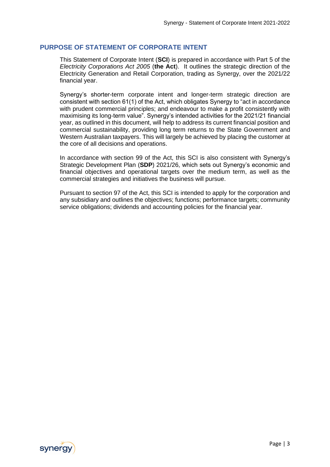#### **PURPOSE OF STATEMENT OF CORPORATE INTENT**

This Statement of Corporate Intent (**SCI**) is prepared in accordance with Part 5 of the *Electricity Corporations Act 2005* (**the Act**). It outlines the strategic direction of the Electricity Generation and Retail Corporation, trading as Synergy, over the 2021/22 financial year.

Synergy's shorter-term corporate intent and longer-term strategic direction are consistent with section 61(1) of the Act, which obligates Synergy to "act in accordance with prudent commercial principles; and endeavour to make a profit consistently with maximising its long-term value". Synergy's intended activities for the 2021/21 financial year, as outlined in this document, will help to address its current financial position and commercial sustainability, providing long term returns to the State Government and Western Australian taxpayers. This will largely be achieved by placing the customer at the core of all decisions and operations.

In accordance with section 99 of the Act, this SCI is also consistent with Synergy's Strategic Development Plan (**SDP**) 2021/26, which sets out Synergy's economic and financial objectives and operational targets over the medium term, as well as the commercial strategies and initiatives the business will pursue.

Pursuant to section 97 of the Act, this SCI is intended to apply for the corporation and any subsidiary and outlines the objectives; functions; performance targets; community service obligations; dividends and accounting policies for the financial year.

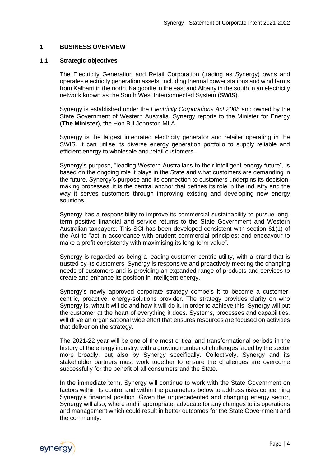#### <span id="page-3-0"></span>**1 BUSINESS OVERVIEW**

#### **1.1 Strategic objectives**

The Electricity Generation and Retail Corporation (trading as Synergy) owns and operates electricity generation assets, including thermal power stations and wind farms from Kalbarri in the north, Kalgoorlie in the east and Albany in the south in an electricity network known as the South West Interconnected System (**SWIS**).

Synergy is established under the *Electricity Corporations Act 2005* and owned by the State Government of Western Australia. Synergy reports to the Minister for Energy (**The Minister**), the Hon Bill Johnston MLA.

Synergy is the largest integrated electricity generator and retailer operating in the SWIS. It can utilise its diverse energy generation portfolio to supply reliable and efficient energy to wholesale and retail customers.

Synergy's purpose, "leading Western Australians to their intelligent energy future", is based on the ongoing role it plays in the State and what customers are demanding in the future. Synergy's purpose and its connection to customers underpins its decisionmaking processes, it is the central anchor that defines its role in the industry and the way it serves customers through improving existing and developing new energy solutions.

Synergy has a responsibility to improve its commercial sustainability to pursue longterm positive financial and service returns to the State Government and Western Australian taxpayers. This SCI has been developed consistent with section 61(1) of the Act to "act in accordance with prudent commercial principles; and endeavour to make a profit consistently with maximising its long-term value".

Synergy is regarded as being a leading customer centric utility, with a brand that is trusted by its customers. Synergy is responsive and proactively meeting the changing needs of customers and is providing an expanded range of products and services to create and enhance its position in intelligent energy.

Synergy's newly approved corporate strategy compels it to become a customercentric, proactive, energy-solutions provider. The strategy provides clarity on who Synergy is, what it will do and how it will do it. In order to achieve this, Synergy will put the customer at the heart of everything it does. Systems, processes and capabilities, will drive an organisational wide effort that ensures resources are focused on activities that deliver on the strategy.

The 2021-22 year will be one of the most critical and transformational periods in the history of the energy industry, with a growing number of challenges faced by the sector more broadly, but also by Synergy specifically. Collectively, Synergy and its stakeholder partners must work together to ensure the challenges are overcome successfully for the benefit of all consumers and the State.

In the immediate term, Synergy will continue to work with the State Government on factors within its control and within the parameters below to address risks concerning Synergy's financial position. Given the unprecedented and changing energy sector, Synergy will also, where and if appropriate, advocate for any changes to its operations and management which could result in better outcomes for the State Government and the community.

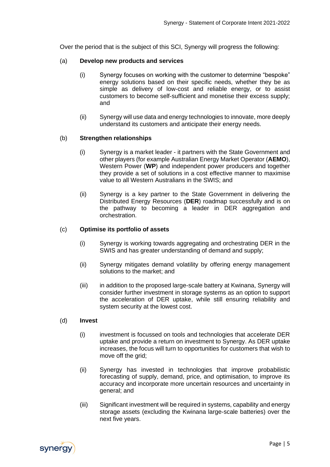Over the period that is the subject of this SCI, Synergy will progress the following:

#### (a) **Develop new products and services**

- (i) Synergy focuses on working with the customer to determine "bespoke" energy solutions based on their specific needs, whether they be as simple as delivery of low-cost and reliable energy, or to assist customers to become self-sufficient and monetise their excess supply; and
- (ii) Synergy will use data and energy technologies to innovate, more deeply understand its customers and anticipate their energy needs.

#### (b) **Strengthen relationships**

- (i) Synergy is a market leader it partners with the State Government and other players (for example Australian Energy Market Operator (**AEMO**), Western Power (**WP**) and independent power producers and together they provide a set of solutions in a cost effective manner to maximise value to all Western Australians in the SWIS; and
- (ii) Synergy is a key partner to the State Government in delivering the Distributed Energy Resources (**DER**) roadmap successfully and is on the pathway to becoming a leader in DER aggregation and orchestration.

#### (c) **Optimise its portfolio of assets**

- (i) Synergy is working towards aggregating and orchestrating DER in the SWIS and has greater understanding of demand and supply;
- (ii) Synergy mitigates demand volatility by offering energy management solutions to the market; and
- (iii) in addition to the proposed large-scale battery at Kwinana, Synergy will consider further investment in storage systems as an option to support the acceleration of DER uptake, while still ensuring reliability and system security at the lowest cost.

#### (d) **Invest**

- (i) investment is focussed on tools and technologies that accelerate DER uptake and provide a return on investment to Synergy. As DER uptake increases, the focus will turn to opportunities for customers that wish to move off the grid:
- (ii) Synergy has invested in technologies that improve probabilistic forecasting of supply, demand, price, and optimisation, to improve its accuracy and incorporate more uncertain resources and uncertainty in general; and
- (iii) Significant investment will be required in systems, capability and energy storage assets (excluding the Kwinana large-scale batteries) over the next five years.

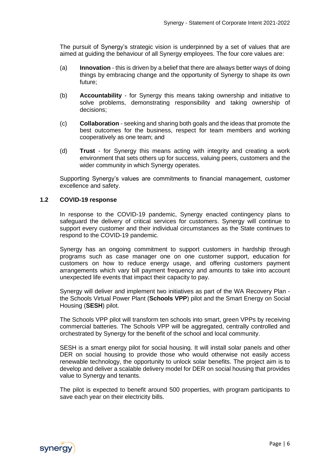The pursuit of Synergy's strategic vision is underpinned by a set of values that are aimed at guiding the behaviour of all Synergy employees. The four core values are:

- (a) **Innovation** this is driven by a belief that there are always better ways of doing things by embracing change and the opportunity of Synergy to shape its own future;
- (b) **Accountability** for Synergy this means taking ownership and initiative to solve problems, demonstrating responsibility and taking ownership of decisions;
- (c) **Collaboration** seeking and sharing both goals and the ideas that promote the best outcomes for the business, respect for team members and working cooperatively as one team; and
- (d) **Trust** for Synergy this means acting with integrity and creating a work environment that sets others up for success, valuing peers, customers and the wider community in which Synergy operates.

Supporting Synergy's values are commitments to financial management, customer excellence and safety.

#### **1.2 COVID-19 response**

In response to the COVID-19 pandemic, Synergy enacted contingency plans to safeguard the delivery of critical services for customers. Synergy will continue to support every customer and their individual circumstances as the State continues to respond to the COVID-19 pandemic.

Synergy has an ongoing commitment to support customers in hardship through programs such as case manager one on one customer support, education for customers on how to reduce energy usage, and offering customers payment arrangements which vary bill payment frequency and amounts to take into account unexpected life events that impact their capacity to pay.

Synergy will deliver and implement two initiatives as part of the WA Recovery Plan the Schools Virtual Power Plant (**Schools VPP**) pilot and the Smart Energy on Social Housing (**SESH**) pilot.

The Schools VPP pilot will transform ten schools into smart, green VPPs by receiving commercial batteries. The Schools VPP will be aggregated, centrally controlled and orchestrated by Synergy for the benefit of the school and local community.

SESH is a smart energy pilot for social housing. It will install solar panels and other DER on social housing to provide those who would otherwise not easily access renewable technology, the opportunity to unlock solar benefits. The project aim is to develop and deliver a scalable delivery model for DER on social housing that provides value to Synergy and tenants.

The pilot is expected to benefit around 500 properties, with program participants to save each year on their electricity bills.

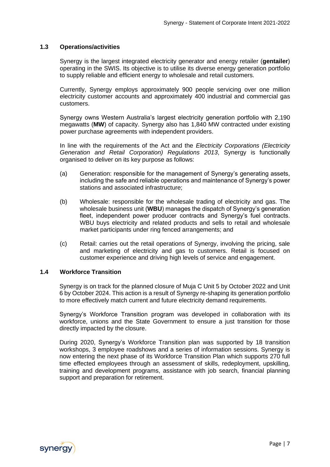#### **1.3 Operations/activities**

Synergy is the largest integrated electricity generator and energy retailer (**gentailer**) operating in the SWIS. Its objective is to utilise its diverse energy generation portfolio to supply reliable and efficient energy to wholesale and retail customers.

Currently, Synergy employs approximately 900 people servicing over one million electricity customer accounts and approximately 400 industrial and commercial gas customers.

Synergy owns Western Australia's largest electricity generation portfolio with 2,190 megawatts (**MW**) of capacity. Synergy also has 1,840 MW contracted under existing power purchase agreements with independent providers.

In line with the requirements of the Act and the *Electricity Corporations (Electricity Generation and Retail Corporation) Regulations 2013*, Synergy is functionally organised to deliver on its key purpose as follows:

- (a) Generation: responsible for the management of Synergy's generating assets, including the safe and reliable operations and maintenance of Synergy's power stations and associated infrastructure;
- (b) Wholesale: responsible for the wholesale trading of electricity and gas. The wholesale business unit (**WBU**) manages the dispatch of Synergy's generation fleet, independent power producer contracts and Synergy's fuel contracts. WBU buys electricity and related products and sells to retail and wholesale market participants under ring fenced arrangements; and
- (c) Retail: carries out the retail operations of Synergy, involving the pricing, sale and marketing of electricity and gas to customers. Retail is focused on customer experience and driving high levels of service and engagement.

#### **1.4 Workforce Transition**

Synergy is on track for the planned closure of Muja C Unit 5 by October 2022 and Unit 6 by October 2024. This action is a result of Synergy re-shaping its generation portfolio to more effectively match current and future electricity demand requirements.

Synergy's Workforce Transition program was developed in collaboration with its workforce, unions and the State Government to ensure a just transition for those directly impacted by the closure.

During 2020, Synergy's Workforce Transition plan was supported by 18 transition workshops, 3 employee roadshows and a series of information sessions. Synergy is now entering the next phase of its Workforce Transition Plan which supports 270 full time effected employees through an assessment of skills, redeployment, upskilling, training and development programs, assistance with job search, financial planning support and preparation for retirement.

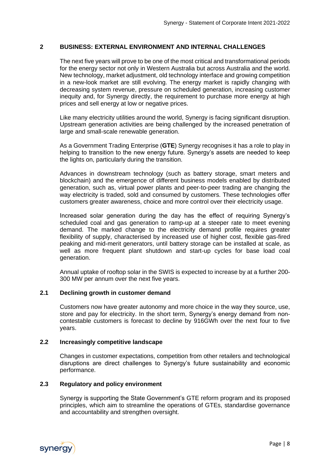#### <span id="page-7-0"></span>**2 BUSINESS: EXTERNAL ENVIRONMENT AND INTERNAL CHALLENGES**

The next five years will prove to be one of the most critical and transformational periods for the energy sector not only in Western Australia but across Australia and the world. New technology, market adjustment, old technology interface and growing competition in a new-look market are still evolving. The energy market is rapidly changing with decreasing system revenue, pressure on scheduled generation, increasing customer inequity and, for Synergy directly, the requirement to purchase more energy at high prices and sell energy at low or negative prices.

Like many electricity utilities around the world, Synergy is facing significant disruption. Upstream generation activities are being challenged by the increased penetration of large and small-scale renewable generation.

As a Government Trading Enterprise (**GTE**) Synergy recognises it has a role to play in helping to transition to the new energy future. Synergy's assets are needed to keep the lights on, particularly during the transition.

Advances in downstream technology (such as battery storage, smart meters and blockchain) and the emergence of different business models enabled by distributed generation, such as, virtual power plants and peer-to-peer trading are changing the way electricity is traded, sold and consumed by customers. These technologies offer customers greater awareness, choice and more control over their electricity usage.

Increased solar generation during the day has the effect of requiring Synergy's scheduled coal and gas generation to ramp-up at a steeper rate to meet evening demand. The marked change to the electricity demand profile requires greater flexibility of supply, characterised by increased use of higher cost, flexible gas-fired peaking and mid-merit generators, until battery storage can be installed at scale, as well as more frequent plant shutdown and start-up cycles for base load coal generation.

Annual uptake of rooftop solar in the SWIS is expected to increase by at a further 200- 300 MW per annum over the next five years.

#### **2.1 Declining growth in customer demand**

Customers now have greater autonomy and more choice in the way they source, use, store and pay for electricity. In the short term, Synergy's energy demand from noncontestable customers is forecast to decline by 916GWh over the next four to five years.

#### **2.2 Increasingly competitive landscape**

Changes in customer expectations, competition from other retailers and technological disruptions are direct challenges to Synergy's future sustainability and economic performance.

#### **2.3 Regulatory and policy environment**

Synergy is supporting the State Government's GTE reform program and its proposed principles, which aim to streamline the operations of GTEs, standardise governance and accountability and strengthen oversight.

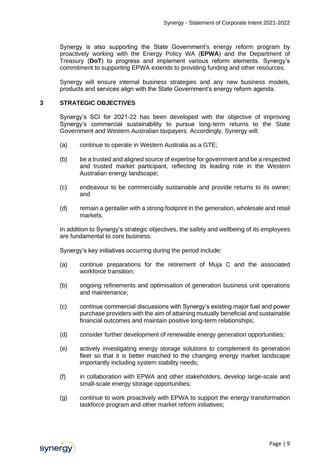Synergy is also supporting the State Government's energy reform program by proactively working with the Energy Policy WA (**EPWA**) and the Department of Treasury (**DoT**) to progress and implement various reform elements. Synergy's commitment to supporting EPWA extends to providing funding and other resources.

Synergy will ensure internal business strategies and any new business models, products and services align with the State Government's energy reform agenda.

#### <span id="page-8-0"></span>**3 STRATEGIC OBJECTIVES**

Synergy's SCI for 2021-22 has been developed with the objective of improving Synergy's commercial sustainability to pursue long-term returns to the State Government and Western Australian taxpayers. Accordingly, Synergy will:

- (a) continue to operate in Western Australia as a GTE;
- (b) be a trusted and aligned source of expertise for government and be a respected and trusted market participant, reflecting its leading role in the Western Australian energy landscape;
- (c) endeavour to be commercially sustainable and provide returns to its owner; and
- (d) remain a gentailer with a strong footprint in the generation, wholesale and retail markets.

In addition to Synergy's strategic objectives, the safety and wellbeing of its employees are fundamental to core business.

Synergy's key initiatives occurring during the period include:

- (a) continue preparations for the retirement of Muja C and the associated workforce transition;
- (b) ongoing refinements and optimisation of generation business unit operations and maintenance;
- (c) continue commercial discussions with Synergy's existing major fuel and power purchase providers with the aim of attaining mutually beneficial and sustainable financial outcomes and maintain positive long-term relationships;
- (d) consider further development of renewable energy generation opportunities;
- (e) actively investigating energy storage solutions to complement its generation fleet so that it is better matched to the changing energy market landscape importantly including system stability needs;
- (f) in collaboration with EPWA and other stakeholders, develop large-scale and small-scale energy storage opportunities;
- (g) continue to work proactively with EPWA to support the energy transformation taskforce program and other market reform initiatives;

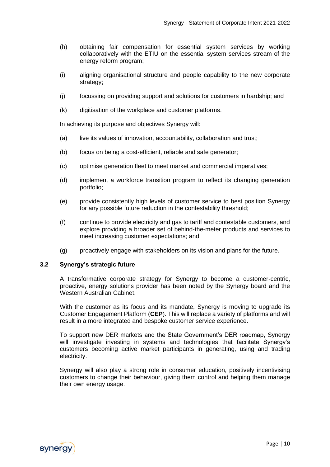- (h) obtaining fair compensation for essential system services by working collaboratively with the ETIU on the essential system services stream of the energy reform program;
- (i) aligning organisational structure and people capability to the new corporate strategy;
- (j) focussing on providing support and solutions for customers in hardship; and
- (k) digitisation of the workplace and customer platforms.

In achieving its purpose and objectives Synergy will:

- (a) live its values of innovation, accountability, collaboration and trust;
- (b) focus on being a cost-efficient, reliable and safe generator;
- (c) optimise generation fleet to meet market and commercial imperatives;
- (d) implement a workforce transition program to reflect its changing generation portfolio;
- (e) provide consistently high levels of customer service to best position Synergy for any possible future reduction in the contestability threshold;
- (f) continue to provide electricity and gas to tariff and contestable customers, and explore providing a broader set of behind-the-meter products and services to meet increasing customer expectations; and
- (g) proactively engage with stakeholders on its vision and plans for the future.

#### **3.2 Synergy's strategic future**

A transformative corporate strategy for Synergy to become a customer-centric, proactive, energy solutions provider has been noted by the Synergy board and the Western Australian Cabinet.

With the customer as its focus and its mandate. Synergy is moving to upgrade its Customer Engagement Platform (**CEP**). This will replace a variety of platforms and will result in a more integrated and bespoke customer service experience.

To support new DER markets and the State Government's DER roadmap, Synergy will investigate investing in systems and technologies that facilitate Synergy's customers becoming active market participants in generating, using and trading electricity.

Synergy will also play a strong role in consumer education, positively incentivising customers to change their behaviour, giving them control and helping them manage their own energy usage.

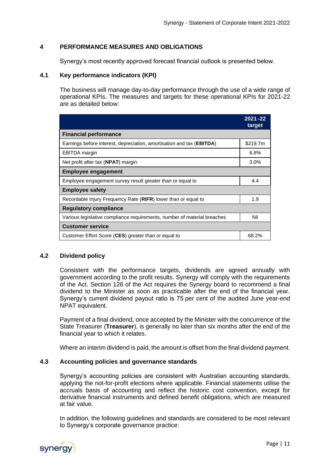#### <span id="page-10-0"></span>**4 PERFORMANCE MEASURES AND OBLIGATIONS**

Synergy's most recently approved forecast financial outlook is presented below.

#### **4.1 Key performance indicators (KPI)**

The business will manage day-to-day performance through the use of a wide range of operational KPIs. The measures and targets for these operational KPIs for 2021-22 are as detailed below:

|                                                                                | $2021 - 22$<br>target |  |  |  |
|--------------------------------------------------------------------------------|-----------------------|--|--|--|
| <b>Financial performance</b>                                                   |                       |  |  |  |
| Earnings before interest, depreciation, amortisation and tax ( <b>EBITDA</b> ) | \$219.7m              |  |  |  |
| <b>EBITDA</b> margin                                                           | 6.8%                  |  |  |  |
| Net profit after tax (NPAT) margin                                             | 3.0%                  |  |  |  |
| Employee engagement                                                            |                       |  |  |  |
| Employee engagement survey result greater than or equal to                     | 4.4                   |  |  |  |
| <b>Employee safety</b>                                                         |                       |  |  |  |
| Recordable Injury Frequency Rate (RIFR) lower than or equal to                 | 1.9                   |  |  |  |
| <b>Regulatory compliance</b>                                                   |                       |  |  |  |
| Various legislative compliance requirements, number of material breaches       | Nil                   |  |  |  |
| <b>Customer service</b>                                                        |                       |  |  |  |
| Customer Effort Score (CES) greater than or equal to                           | 68.2%                 |  |  |  |

#### **4.2 Dividend policy**

Consistent with the performance targets, dividends are agreed annually with government according to the profit results. Synergy will comply with the requirements of the Act. Section 126 of the Act requires the Synergy board to recommend a final dividend to the Minister as soon as practicable after the end of the financial year. Synergy's current dividend payout ratio is 75 per cent of the audited June year‐end NPAT equivalent.

Payment of a final dividend, once accepted by the Minister with the concurrence of the State Treasurer (**Treasurer**), is generally no later than six months after the end of the financial year to which it relates.

Where an interim dividend is paid, the amount is offset from the final dividend payment.

#### **4.3 Accounting policies and governance standards**

Synergy's accounting policies are consistent with Australian accounting standards, applying the not-for-profit elections where applicable. Financial statements utilise the accruals basis of accounting and reflect the historic cost convention, except for derivative financial instruments and defined benefit obligations, which are measured at fair value.

In addition, the following guidelines and standards are considered to be most relevant to Synergy's corporate governance practice:

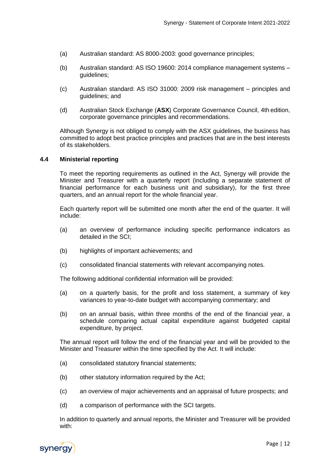- (a) Australian standard: AS 8000-2003: good governance principles;
- (b) Australian standard: AS ISO 19600: 2014 compliance management systems guidelines;
- (c) Australian standard: AS ISO 31000: 2009 risk management principles and guidelines; and
- (d) Australian Stock Exchange (**ASX**) Corporate Governance Council, 4th edition, corporate governance principles and recommendations.

Although Synergy is not obliged to comply with the ASX guidelines, the business has committed to adopt best practice principles and practices that are in the best interests of its stakeholders.

#### **4.4 Ministerial reporting**

To meet the reporting requirements as outlined in the Act, Synergy will provide the Minister and Treasurer with a quarterly report (including a separate statement of financial performance for each business unit and subsidiary), for the first three quarters, and an annual report for the whole financial year.

Each quarterly report will be submitted one month after the end of the quarter. It will include:

- (a) an overview of performance including specific performance indicators as detailed in the SCI;
- (b) highlights of important achievements; and
- (c) consolidated financial statements with relevant accompanying notes.

The following additional confidential information will be provided:

- (a) on a quarterly basis, for the profit and loss statement, a summary of key variances to year-to-date budget with accompanying commentary; and
- (b) on an annual basis, within three months of the end of the financial year, a schedule comparing actual capital expenditure against budgeted capital expenditure, by project.

The annual report will follow the end of the financial year and will be provided to the Minister and Treasurer within the time specified by the Act. It will include:

- (a) consolidated statutory financial statements;
- (b) other statutory information required by the Act;
- (c) an overview of major achievements and an appraisal of future prospects; and
- (d) a comparison of performance with the SCI targets.

In addition to quarterly and annual reports, the Minister and Treasurer will be provided with:

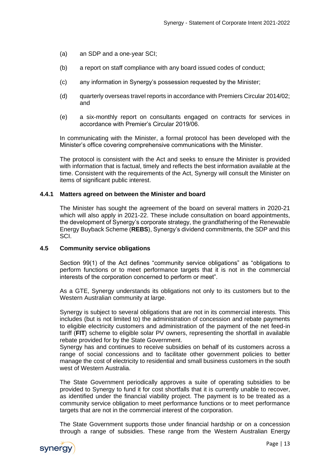- (a) an SDP and a one-year SCI;
- (b) a report on staff compliance with any board issued codes of conduct;
- (c) any information in Synergy's possession requested by the Minister;
- (d) quarterly overseas travel reports in accordance with Premiers Circular 2014/02; and
- (e) a six-monthly report on consultants engaged on contracts for services in accordance with Premier's Circular 2019/06.

In communicating with the Minister, a formal protocol has been developed with the Minister's office covering comprehensive communications with the Minister.

The protocol is consistent with the Act and seeks to ensure the Minister is provided with information that is factual, timely and reflects the best information available at the time. Consistent with the requirements of the Act, Synergy will consult the Minister on items of significant public interest.

#### **4.4.1 Matters agreed on between the Minister and board**

The Minister has sought the agreement of the board on several matters in 2020-21 which will also apply in 2021-22. These include consultation on board appointments, the development of Synergy's corporate strategy, the grandfathering of the Renewable Energy Buyback Scheme (**REBS**), Synergy's dividend commitments, the SDP and this SCI.

#### **4.5 Community service obligations**

Section 99(1) of the Act defines "community service obligations" as "obligations to perform functions or to meet performance targets that it is not in the commercial interests of the corporation concerned to perform or meet".

As a GTE, Synergy understands its obligations not only to its customers but to the Western Australian community at large.

Synergy is subject to several obligations that are not in its commercial interests. This includes (but is not limited to) the administration of concession and rebate payments to eligible electricity customers and administration of the payment of the net feed-in tariff (**FIT**) scheme to eligible solar PV owners, representing the shortfall in available rebate provided for by the State Government.

Synergy has and continues to receive subsidies on behalf of its customers across a range of social concessions and to facilitate other government policies to better manage the cost of electricity to residential and small business customers in the south west of Western Australia.

The State Government periodically approves a suite of operating subsidies to be provided to Synergy to fund it for cost shortfalls that it is currently unable to recover, as identified under the financial viability project. The payment is to be treated as a community service obligation to meet performance functions or to meet performance targets that are not in the commercial interest of the corporation.

The State Government supports those under financial hardship or on a concession through a range of subsidies. These range from the Western Australian Energy

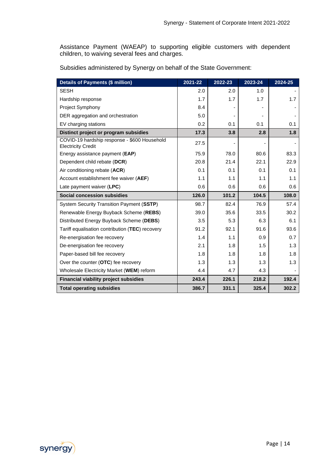Assistance Payment (WAEAP) to supporting eligible customers with dependent children, to waiving several fees and charges.

Subsidies administered by Synergy on behalf of the State Government:

| <b>Details of Payments (\$ million)</b>                                   | 2021-22 | 2022-23 | 2023-24 | 2024-25 |
|---------------------------------------------------------------------------|---------|---------|---------|---------|
| <b>SESH</b>                                                               | 2.0     | 2.0     | 1.0     |         |
| Hardship response                                                         | 1.7     | 1.7     | 1.7     | 1.7     |
| Project Symphony                                                          | 8.4     |         |         |         |
| DER aggregation and orchestration                                         | 5.0     |         |         |         |
| EV charging stations                                                      | 0.2     | 0.1     | 0.1     | 0.1     |
| Distinct project or program subsidies                                     | 17.3    | 3.8     | 2.8     | 1.8     |
| COVID-19 hardship response - \$600 Household<br><b>Electricity Credit</b> | 27.5    |         |         |         |
| Energy assistance payment (EAP)                                           | 75.9    | 78.0    | 80.6    | 83.3    |
| Dependent child rebate (DCR)                                              | 20.8    | 21.4    | 22.1    | 22.9    |
| Air conditioning rebate (ACR)                                             | 0.1     | 0.1     | 0.1     | 0.1     |
| Account establishment fee waiver (AEF)                                    | 1.1     | 1.1     | 1.1     | 1.1     |
| Late payment waiver (LPC)                                                 | 0.6     | 0.6     | 0.6     | 0.6     |
| Social concession subsidies                                               | 126.0   | 101.2   | 104.5   | 108.0   |
| System Security Transition Payment (SSTP)                                 | 98.7    | 82.4    | 76.9    | 57.4    |
| Renewable Energy Buyback Scheme (REBS)                                    | 39.0    | 35.6    | 33.5    | 30.2    |
| Distributed Energy Buyback Scheme (DEBS)                                  | 3.5     | 5.3     | 6.3     | 6.1     |
| Tariff equalisation contribution (TEC) recovery                           | 91.2    | 92.1    | 91.6    | 93.6    |
| Re-energisation fee recovery                                              | 1.4     | 1.1     | 0.9     | 0.7     |
| De-energisation fee recovery                                              | 2.1     | 1.8     | 1.5     | 1.3     |
| Paper-based bill fee recovery                                             | 1.8     | 1.8     | 1.8     | 1.8     |
| Over the counter (OTC) fee recovery                                       | 1.3     | 1.3     | 1.3     | 1.3     |
| Wholesale Electricity Market (WEM) reform                                 | 4.4     | 4.7     | 4.3     |         |
| <b>Financial viability project subsidies</b>                              | 243.4   | 226.1   | 218.2   | 192.4   |
| <b>Total operating subsidies</b>                                          | 386.7   | 331.1   | 325.4   | 302.2   |

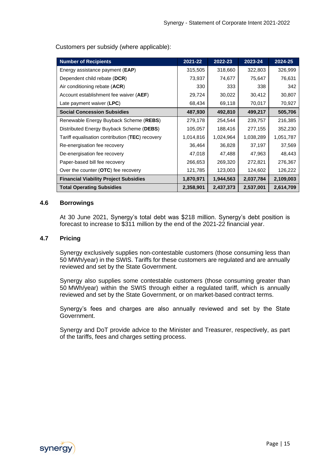Customers per subsidy (where applicable):

| <b>Number of Recipients</b>                     | 2021-22   | 2022-23   | 2023-24   | 2024-25   |
|-------------------------------------------------|-----------|-----------|-----------|-----------|
| Energy assistance payment ( <b>EAP</b> )        | 315,505   | 318,660   | 322,803   | 326,999   |
| Dependent child rebate (DCR)                    | 73,937    | 74,677    | 75,647    | 76,631    |
| Air conditioning rebate (ACR)                   | 330       | 333       | 338       | 342       |
| Account establishment fee waiver (AEF)          | 29,724    | 30,022    | 30,412    | 30,807    |
| Late payment waiver (LPC)                       | 68,434    | 69,118    | 70,017    | 70,927    |
| <b>Social Concession Subsidies</b>              | 487,930   | 492,810   | 499,217   | 505,706   |
| Renewable Energy Buyback Scheme (REBS)          | 279,178   | 254,544   | 239,757   | 216,385   |
| Distributed Energy Buyback Scheme (DEBS)        | 105,057   | 188,416   | 277,155   | 352,230   |
| Tariff equalisation contribution (TEC) recovery | 1,014,816 | 1,024,964 | 1,038,289 | 1,051,787 |
| Re-energisation fee recovery                    | 36,464    | 36,828    | 37,197    | 37,569    |
| De-energisation fee recovery                    | 47,018    | 47,488    | 47,963    | 48,443    |
| Paper-based bill fee recovery                   | 266,653   | 269,320   | 272,821   | 276,367   |
| Over the counter (OTC) fee recovery             | 121,785   | 123,003   | 124,602   | 126,222   |
| <b>Financial Viability Project Subsidies</b>    | 1,870,971 | 1,944,563 | 2,037,784 | 2,109,003 |
| <b>Total Operating Subsidies</b>                | 2,358,901 | 2,437,373 | 2,537,001 | 2,614,709 |

#### **4.6 Borrowings**

At 30 June 2021, Synergy's total debt was \$218 million. Synergy's debt position is forecast to increase to \$311 million by the end of the 2021-22 financial year.

#### **4.7 Pricing**

Synergy exclusively supplies non-contestable customers (those consuming less than 50 MWh/year) in the SWIS. Tariffs for these customers are regulated and are annually reviewed and set by the State Government.

Synergy also supplies some contestable customers (those consuming greater than 50 MWh/year) within the SWIS through either a regulated tariff, which is annually reviewed and set by the State Government, or on market-based contract terms.

Synergy's fees and charges are also annually reviewed and set by the State Government.

Synergy and DoT provide advice to the Minister and Treasurer, respectively, as part of the tariffs, fees and charges setting process.